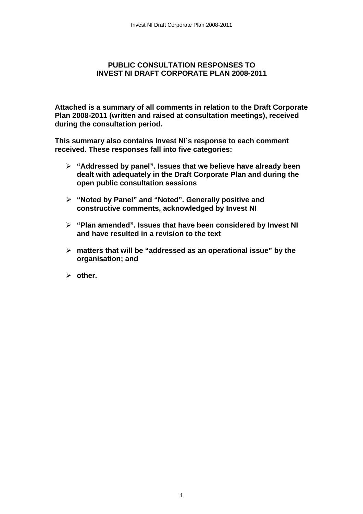## **PUBLIC CONSULTATION RESPONSES TO INVEST NI DRAFT CORPORATE PLAN 2008-2011**

**Attached is a summary of all comments in relation to the Draft Corporate Plan 2008-2011 (written and raised at consultation meetings), received during the consultation period.** 

**This summary also contains Invest NI's response to each comment received. These responses fall into five categories:** 

- ¾ **"Addressed by panel". Issues that we believe have already been dealt with adequately in the Draft Corporate Plan and during the open public consultation sessions**
- ¾ **"Noted by Panel" and "Noted". Generally positive and constructive comments, acknowledged by Invest NI**
- ¾ **"Plan amended". Issues that have been considered by Invest NI and have resulted in a revision to the text**
- ¾ **matters that will be "addressed as an operational issue" by the organisation; and**
- ¾ **other.**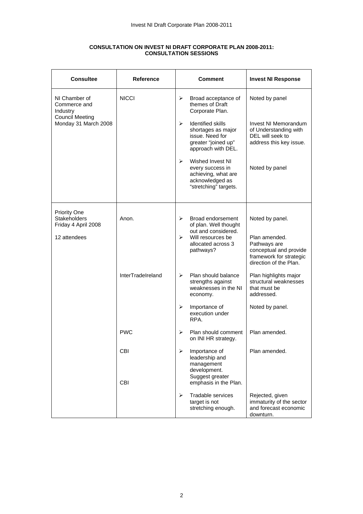| <b>Consultee</b>                               | <b>Reference</b>         | <b>Comment</b>                                                                                                                          | <b>Invest NI Response</b>                                                                                    |
|------------------------------------------------|--------------------------|-----------------------------------------------------------------------------------------------------------------------------------------|--------------------------------------------------------------------------------------------------------------|
| NI Chamber of<br>Commerce and<br>Industry      | <b>NICCI</b>             | ⋗<br>Broad acceptance of<br>themes of Draft<br>Corporate Plan.                                                                          | Noted by panel                                                                                               |
| <b>Council Meeting</b><br>Monday 31 March 2008 |                          | $\blacktriangleright$<br><b>Identified skills</b><br>shortages as major<br>issue. Need for<br>greater "joined up"<br>approach with DEL. | Invest NI Memorandum<br>of Understanding with<br>DEL will seek to<br>address this key issue.                 |
|                                                |                          | Wished Invest NI<br>$\blacktriangleright$<br>every success in<br>achieving, what are<br>acknowledged as<br>"stretching" targets.        | Noted by panel                                                                                               |
| <b>Priority One</b>                            |                          |                                                                                                                                         |                                                                                                              |
| <b>Stakeholders</b><br>Friday 4 April 2008     | Anon.                    | Broad endorsement<br>➤<br>of plan. Well thought<br>out and considered.                                                                  | Noted by panel.                                                                                              |
| 12 attendees                                   |                          | Will resources be<br>$\blacktriangleright$<br>allocated across 3<br>pathways?                                                           | Plan amended.<br>Pathways are<br>conceptual and provide<br>framework for strategic<br>direction of the Plan. |
|                                                | InterTradeIreland        | Plan should balance<br>➤<br>strengths against<br>weaknesses in the NI<br>economy.                                                       | Plan highlights major<br>structural weaknesses<br>that must be<br>addressed.                                 |
|                                                |                          | Importance of<br>➤<br>execution under<br>RPA.                                                                                           | Noted by panel.                                                                                              |
|                                                | <b>PWC</b>               | Plan should comment<br>⋗<br>on INI HR strategy.                                                                                         | Plan amended.                                                                                                |
|                                                | <b>CBI</b><br><b>CBI</b> | ⋗<br>Importance of<br>leadership and<br>management<br>development.<br>Suggest greater<br>emphasis in the Plan.                          | Plan amended.                                                                                                |
|                                                |                          | Tradable services<br>⋗<br>target is not<br>stretching enough.                                                                           | Rejected, given<br>immaturity of the sector<br>and forecast economic<br>downturn.                            |

## **CONSULTATION ON INVEST NI DRAFT CORPORATE PLAN 2008-2011: CONSULTATION SESSIONS**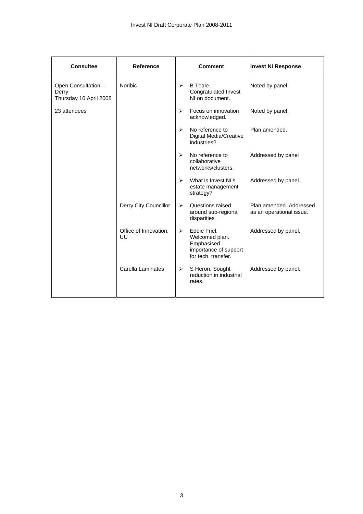| <b>Consultee</b>                                       | <b>Reference</b>            | <b>Comment</b>                                                                                                        | <b>Invest NI Response</b>                           |
|--------------------------------------------------------|-----------------------------|-----------------------------------------------------------------------------------------------------------------------|-----------------------------------------------------|
| Open Consultation -<br>Derry<br>Thursday 10 April 2008 | <b>Noribic</b>              | B Toale.<br>➤<br><b>Congratulated Invest</b><br>NI on document.                                                       | Noted by panel.                                     |
| 23 attendees                                           |                             | Focus on innovation<br>$\blacktriangleright$<br>acknowledged.                                                         | Noted by panel.                                     |
|                                                        |                             | No reference to<br>$\blacktriangleright$<br>Digital Media/Creative<br>industries?                                     | Plan amended.                                       |
|                                                        |                             | No reference to<br>➤<br>collaborative<br>networks/clusters.                                                           | Addressed by panel                                  |
|                                                        |                             | $\blacktriangleright$<br>What is Invest NI's<br>estate management<br>strategy?                                        | Addressed by panel.                                 |
|                                                        | Derry City Councillor       | Questions raised<br>➤<br>around sub-regional<br>disparities                                                           | Plan amended. Addressed<br>as an operational issue. |
|                                                        | Office of Innovation,<br>UU | Eddie Friel.<br>$\blacktriangleright$<br>Welcomed plan.<br>Emphasised<br>importance of support<br>for tech, transfer. | Addressed by panel.                                 |
|                                                        | Carella Laminates           | S Heron. Sought<br>$\blacktriangleright$<br>reduction in industrial<br>rates.                                         | Addressed by panel.                                 |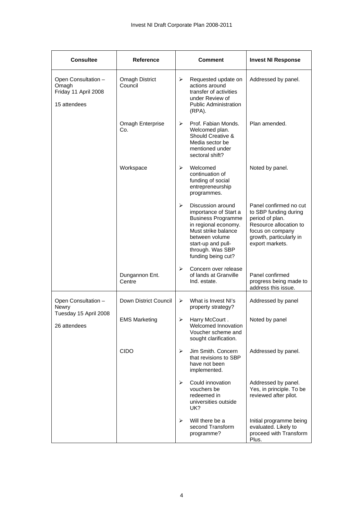| <b>Consultee</b>                                                     | <b>Reference</b>                 |                       | <b>Comment</b>                                                                                                                                                                                           | <b>Invest NI Response</b>                                                                                                                                      |
|----------------------------------------------------------------------|----------------------------------|-----------------------|----------------------------------------------------------------------------------------------------------------------------------------------------------------------------------------------------------|----------------------------------------------------------------------------------------------------------------------------------------------------------------|
| Open Consultation -<br>Omagh<br>Friday 11 April 2008<br>15 attendees | <b>Omagh District</b><br>Council | $\blacktriangleright$ | Requested update on<br>actions around<br>transfer of activities<br>under Review of<br><b>Public Administration</b><br>$(RPA)$ .                                                                          | Addressed by panel.                                                                                                                                            |
|                                                                      | Omagh Enterprise<br>Co.          | ➤                     | Prof. Fabian Monds.<br>Welcomed plan.<br>Should Creative &<br>Media sector be<br>mentioned under<br>sectoral shift?                                                                                      | Plan amended.                                                                                                                                                  |
|                                                                      | Workspace                        | ➤                     | Welcomed<br>continuation of<br>funding of social<br>entrepreneurship<br>programmes.                                                                                                                      | Noted by panel.                                                                                                                                                |
|                                                                      |                                  | $\blacktriangleright$ | Discussion around<br>importance of Start a<br><b>Business Programme</b><br>in regional economy.<br>Must strike balance<br>between volume<br>start-up and pull-<br>through. Was SBP<br>funding being cut? | Panel confirmed no cut<br>to SBP funding during<br>period of plan.<br>Resource allocation to<br>focus on company<br>growth, particularly in<br>export markets. |
|                                                                      | Dungannon Ent.<br>Centre         | $\blacktriangleright$ | Concern over release<br>of lands at Granville<br>Ind. estate.                                                                                                                                            | Panel confirmed<br>progress being made to<br>address this issue.                                                                                               |
| Open Consultation -<br>Newry                                         | Down District Council            | ➤                     | What is Invest NI's<br>property strategy?                                                                                                                                                                | Addressed by panel                                                                                                                                             |
| Tuesday 15 April 2008<br>26 attendees                                | <b>EMS Marketing</b>             | ➤                     | Harry McCourt.<br>Welcomed Innovation<br>Voucher scheme and<br>sought clarification.                                                                                                                     | Noted by panel                                                                                                                                                 |
|                                                                      | <b>CIDO</b>                      | ➤                     | Jim Smith. Concern<br>that revisions to SBP<br>have not been<br>implemented.                                                                                                                             | Addressed by panel.                                                                                                                                            |
|                                                                      |                                  | ⋗                     | Could innovation<br>vouchers be<br>redeemed in<br>universities outside<br>UK?                                                                                                                            | Addressed by panel.<br>Yes, in principle. To be<br>reviewed after pilot.                                                                                       |
|                                                                      |                                  | ➤                     | Will there be a<br>second Transform<br>programme?                                                                                                                                                        | Initial programme being<br>evaluated. Likely to<br>proceed with Transform<br>Plus.                                                                             |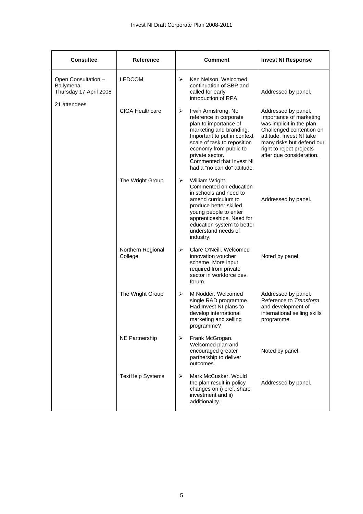| <b>Consultee</b>                                           | <b>Reference</b>             |   | Comment                                                                                                                                                                                                                                                                 | <b>Invest NI Response</b>                                                                                                                                                                                                |
|------------------------------------------------------------|------------------------------|---|-------------------------------------------------------------------------------------------------------------------------------------------------------------------------------------------------------------------------------------------------------------------------|--------------------------------------------------------------------------------------------------------------------------------------------------------------------------------------------------------------------------|
| Open Consultation -<br>Ballymena<br>Thursday 17 April 2008 | <b>LEDCOM</b>                | ⋗ | Ken Nelson, Welcomed<br>continuation of SBP and<br>called for early<br>introduction of RPA.                                                                                                                                                                             | Addressed by panel.                                                                                                                                                                                                      |
| 21 attendees                                               | <b>CIGA Healthcare</b>       | ➤ | Irwin Armstrong. No<br>reference in corporate<br>plan to importance of<br>marketing and branding.<br>Important to put in context<br>scale of task to reposition<br>economy from public to<br>private sector.<br>Commented that Invest NI<br>had a "no can do" attitude. | Addressed by panel.<br>Importance of marketing<br>was implicit in the plan.<br>Challenged contention on<br>attitude. Invest NI take<br>many risks but defend our<br>right to reject projects<br>after due consideration. |
|                                                            | The Wright Group             | ➤ | William Wright.<br>Commented on education<br>in schools and need to<br>amend curriculum to<br>produce better skilled<br>young people to enter<br>apprenticeships. Need for<br>education system to better<br>understand needs of<br>industry.                            | Addressed by panel.                                                                                                                                                                                                      |
|                                                            | Northern Regional<br>College | ➤ | Clare O'Neill, Welcomed<br>innovation voucher<br>scheme. More input<br>required from private<br>sector in workforce dev.<br>forum.                                                                                                                                      | Noted by panel.                                                                                                                                                                                                          |
|                                                            | The Wright Group             | ➤ | M Nodder. Welcomed<br>single R&D programme.<br>Had Invest NI plans to<br>develop international<br>marketing and selling<br>programme?                                                                                                                                   | Addressed by panel.<br>Reference to Transform<br>and development of<br>international selling skills<br>programme.                                                                                                        |
|                                                            | <b>NE Partnership</b>        | ➤ | Frank McGrogan.<br>Welcomed plan and<br>encouraged greater<br>partnership to deliver<br>outcomes.                                                                                                                                                                       | Noted by panel.                                                                                                                                                                                                          |
|                                                            | <b>TextHelp Systems</b>      | ➤ | Mark McCusker, Would<br>the plan result in policy<br>changes on i) pref. share<br>investment and ii)<br>additionality.                                                                                                                                                  | Addressed by panel.                                                                                                                                                                                                      |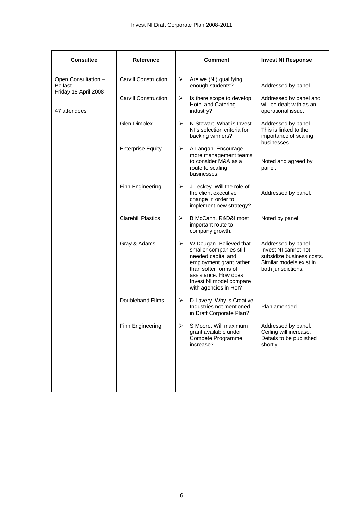| <b>Consultee</b>                                              | Reference                   |   | <b>Comment</b>                                                                                                                                                                                          | <b>Invest NI Response</b>                                                                                                  |
|---------------------------------------------------------------|-----------------------------|---|---------------------------------------------------------------------------------------------------------------------------------------------------------------------------------------------------------|----------------------------------------------------------------------------------------------------------------------------|
| Open Consultation -<br><b>Belfast</b><br>Friday 18 April 2008 | <b>Carvill Construction</b> | ➤ | Are we (NI) qualifying<br>enough students?                                                                                                                                                              | Addressed by panel.                                                                                                        |
| 47 attendees                                                  | <b>Carvill Construction</b> | ➤ | Is there scope to develop<br><b>Hotel and Catering</b><br>industry?                                                                                                                                     | Addressed by panel and<br>will be dealt with as an<br>operational issue.                                                   |
|                                                               | <b>Glen Dimplex</b>         | ➤ | N Stewart. What is Invest<br>NI's selection criteria for<br>backing winners?                                                                                                                            | Addressed by panel.<br>This is linked to the<br>importance of scaling<br>businesses.                                       |
|                                                               | <b>Enterprise Equity</b>    | ➤ | A Langan. Encourage<br>more management teams<br>to consider M&A as a<br>route to scaling<br>businesses.                                                                                                 | Noted and agreed by<br>panel.                                                                                              |
|                                                               | Finn Engineering            | ➤ | J Leckey. Will the role of<br>the client executive<br>change in order to<br>implement new strategy?                                                                                                     | Addressed by panel.                                                                                                        |
|                                                               | <b>Clarehill Plastics</b>   | ⋗ | B McCann, R&D&I most<br>important route to<br>company growth.                                                                                                                                           | Noted by panel.                                                                                                            |
|                                                               | Gray & Adams                | ➤ | W Dougan. Believed that<br>smaller companies still<br>needed capital and<br>employment grant rather<br>than softer forms of<br>assistance. How does<br>Invest NI model compare<br>with agencies in Rol? | Addressed by panel.<br>Invest NI cannot not<br>subsidize business costs.<br>Similar models exist in<br>both jurisdictions. |
|                                                               | <b>Doubleband Films</b>     | ➤ | D Lavery. Why is Creative<br>Industries not mentioned<br>in Draft Corporate Plan?                                                                                                                       | Plan amended.                                                                                                              |
|                                                               | Finn Engineering            | ⋗ | S Moore. Will maximum<br>grant available under<br>Compete Programme<br>increase?                                                                                                                        | Addressed by panel.<br>Ceiling will increase.<br>Details to be published<br>shortly.                                       |
|                                                               |                             |   |                                                                                                                                                                                                         |                                                                                                                            |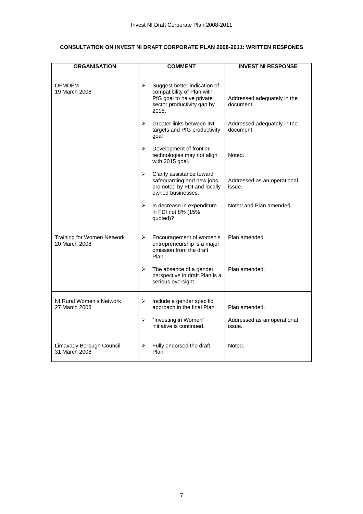## **CONSULTATION ON INVEST NI DRAFT CORPORATE PLAN 2008-2011: WRITTEN RESPONES**

| <b>ORGANISATION</b>                                | <b>COMMENT</b>                                                                                                                      | <b>INVEST NI RESPONSE</b>                |
|----------------------------------------------------|-------------------------------------------------------------------------------------------------------------------------------------|------------------------------------------|
| <b>OFMDFM</b><br>19 March 2008                     | ⋗<br>Suggest better indication of<br>compatibility of Plan with<br>PfG goal to halve private<br>sector productivity gap by<br>2015. | Addressed adequately in the<br>document. |
|                                                    | $\blacktriangleright$<br>Greater links between INI<br>targets and PfG productivity<br>goal                                          | Addressed adequately in the<br>document. |
|                                                    | ➤<br>Development of frontier<br>technologies may not align<br>with 2015 goal.                                                       | Noted.                                   |
|                                                    | Clarify assistance toward<br>➤<br>safeguarding and new jobs<br>promoted by FDI and locally<br>owned businesses.                     | Addressed as an operational<br>issue.    |
|                                                    | ➤<br>Is decrease in expenditure<br>in FDI not 8% (15%<br>quoted)?                                                                   | Noted and Plan amended.                  |
| <b>Training for Women Network</b><br>20 March 2008 | Encouragement of women's<br>➤<br>entrepreneurship is a major<br>omission from the draft<br>Plan.                                    | Plan amended.                            |
|                                                    | The absence of a gender<br>➤<br>perspective in draft Plan is a<br>serious oversight.                                                | Plan amended.                            |
| NI Rural Women's Network<br>27 March 2008          | Include a gender specific<br>➤<br>approach in the final Plan.                                                                       | Plan amended.                            |
|                                                    | $\blacktriangleright$<br>"Investing in Women"<br>initiative is continued.                                                           | Addressed as an operational<br>issue.    |
| Limavady Borough Council<br>31 March 2008          | Fully endorsed the draft<br>⋗<br>Plan.                                                                                              | Noted.                                   |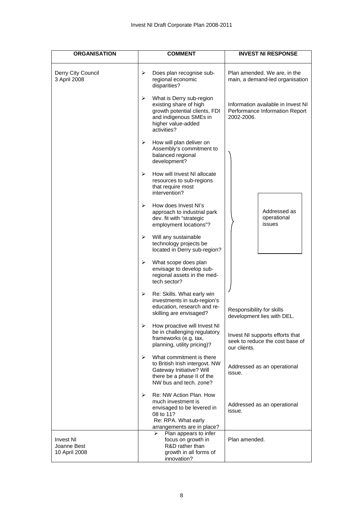| <b>ORGANISATION</b>                              | <b>COMMENT</b>                                                                                                                                                         | <b>INVEST NI RESPONSE</b>                                                          |
|--------------------------------------------------|------------------------------------------------------------------------------------------------------------------------------------------------------------------------|------------------------------------------------------------------------------------|
| Derry City Council<br>3 April 2008               | Does plan recognise sub-<br>➤<br>regional economic<br>disparities?                                                                                                     | Plan amended. We are, in the<br>main, a demand-led organisation                    |
|                                                  | ➤<br>What is Derry sub-region<br>existing share of high<br>growth potential clients, FDI<br>and indigenous SMEs in<br>higher value-added<br>activities?                | Information available in Invest NI<br>Performance Information Report<br>2002-2006. |
|                                                  | ➤<br>How will plan deliver on<br>Assembly's commitment to<br>balanced regional<br>development?                                                                         |                                                                                    |
|                                                  | How will Invest NI allocate<br>⋗<br>resources to sub-regions<br>that require most<br>intervention?                                                                     |                                                                                    |
|                                                  | How does Invest NI's<br>➤<br>approach to industrial park<br>dev. fit with "strategic<br>employment locations"?                                                         | Addressed as<br>operational<br>issues                                              |
|                                                  | ➤<br>Will any sustainable<br>technology projects be<br>located in Derry sub-region?                                                                                    |                                                                                    |
|                                                  | What scope does plan<br>➤<br>envisage to develop sub-<br>regional assets in the med-<br>tech sector?                                                                   |                                                                                    |
|                                                  | $\blacktriangleright$<br>Re: Skills. What early win<br>investments in sub-region's<br>education, research and re-<br>skilling are envisaged?                           | Responsibility for skills<br>development lies with DEL.                            |
|                                                  | How proactive will Invest NI<br>➤<br>be in challenging regulatory<br>frameworks (e.g. tax,<br>planning, utility pricing)?                                              | Invest NI supports efforts that<br>seek to reduce the cost base of<br>our clients. |
|                                                  | ➤<br>What commitment is there<br>to British Irish intergovt. NW<br>Gateway Initiative? Will<br>there be a phase II of the<br>NW bus and tech. zone?                    | Addressed as an operational<br>issue.                                              |
|                                                  | $\blacktriangleright$<br>Re: NW Action Plan, How<br>much investment is<br>envisaged to be levered in<br>08 to 11?<br>Re: RPA. What early<br>arrangements are in place? | Addressed as an operational<br>issue.                                              |
| <b>Invest NI</b><br>Joanne Best<br>10 April 2008 | Plan appears to infer<br>⋗<br>focus on growth in<br>R&D rather than<br>growth in all forms of<br>innovation?                                                           | Plan amended.                                                                      |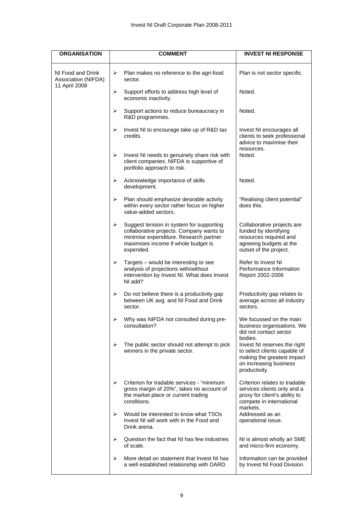| <b>ORGANISATION</b>                      | <b>COMMENT</b>                                                                                                                                                                          | <b>INVEST NI RESPONSE</b>                                                                                                                        |
|------------------------------------------|-----------------------------------------------------------------------------------------------------------------------------------------------------------------------------------------|--------------------------------------------------------------------------------------------------------------------------------------------------|
| NI Food and Drink<br>Association (NIFDA) | $\blacktriangleright$<br>Plan makes no reference to the agri-food<br>sector.                                                                                                            | Plan is not sector specific.                                                                                                                     |
| 11 April 2008                            | $\blacktriangleright$<br>Support efforts to address high level of<br>economic inactivity.                                                                                               | Noted.                                                                                                                                           |
|                                          | $\blacktriangleright$<br>Support actions to reduce bureaucracy in<br>R&D programmes.                                                                                                    | Noted.                                                                                                                                           |
|                                          | ➤<br>Invest NI to encourage take up of R&D tax<br>credits.                                                                                                                              | Invest NI encourages all<br>clients to seek professional<br>advice to maximise their                                                             |
|                                          | ➤<br>Invest NI needs to genuinely share risk with<br>client companies. NIFDA is supportive of<br>portfolio approach to risk.                                                            | resources.<br>Noted.                                                                                                                             |
|                                          | $\blacktriangleright$<br>Acknowledge importance of skills<br>development.                                                                                                               | Noted.                                                                                                                                           |
|                                          | $\blacktriangleright$<br>Plan should emphasize desirable activity<br>within every sector rather focus on higher<br>value-added sectors.                                                 | "Realising client potential"<br>does this.                                                                                                       |
|                                          | ➤<br>Suggest tension in system for supporting<br>collaborative projects. Company wants to<br>minimise expenditure. Research partner<br>maximises income if whole budget is<br>expended. | Collaborative projects are<br>funded by identifying<br>resources required and<br>agreeing budgets at the<br>outset of the project.               |
|                                          | $\blacktriangleright$<br>Targets - would be interesting to see<br>analysis of projections with/without<br>intervention by Invest NI. What does Invest<br>NI add?                        | Refer to Invest NI<br>Performance Information<br>Report 2002-2006                                                                                |
|                                          | ➤<br>Do not believe there is a productivity gap<br>between UK avg. and NI Food and Drink<br>sector.                                                                                     | Productivity gap relates to<br>average across all industry<br>sectors.                                                                           |
|                                          | Why was NIFDA not consulted during pre-<br>➤<br>consultation?                                                                                                                           | We focussed on the main<br>business organisations. We<br>did not contact sector                                                                  |
|                                          | $\blacktriangleright$<br>The public sector should not attempt to pick<br>winners in the private sector.                                                                                 | bodies.<br>Invest NI reserves the right<br>to select clients capable of<br>making the greatest impact<br>on increasing business<br>productivity. |
|                                          | Criterion for tradable services - "minimum<br>⋗<br>gross margin of 20%", takes no account of<br>the market place or current trading<br>conditions.                                      | Criterion relates to tradable<br>services clients only and a<br>proxy for client's ability to<br>compete in international<br>markets.            |
|                                          | Would be interested to know what TSOs<br>➤<br>Invest NI will work with in the Food and<br>Drink arena.                                                                                  | Addressed as an<br>operational issue.                                                                                                            |
|                                          | ➤<br>Question the fact that NI has few industries<br>of scale.                                                                                                                          | NI is almost wholly an SME<br>and micro-firm economy.                                                                                            |
|                                          | ➤<br>More detail on statement that Invest NI has<br>a well established relationship with DARD.                                                                                          | Information can be provided<br>by Invest NI Food Division.                                                                                       |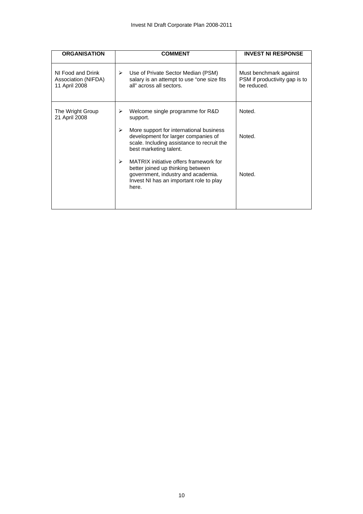| <b>ORGANISATION</b>                                       | <b>COMMENT</b>                                                                                                                                                             | <b>INVEST NI RESPONSE</b>                                              |
|-----------------------------------------------------------|----------------------------------------------------------------------------------------------------------------------------------------------------------------------------|------------------------------------------------------------------------|
| NI Food and Drink<br>Association (NIFDA)<br>11 April 2008 | Use of Private Sector Median (PSM)<br>➤<br>salary is an attempt to use "one size fits<br>all" across all sectors.                                                          | Must benchmark against<br>PSM if productivity gap is to<br>be reduced. |
| The Wright Group<br>21 April 2008                         | Welcome single programme for R&D<br>≻<br>support.                                                                                                                          | Noted.                                                                 |
|                                                           | More support for international business<br>➤<br>development for larger companies of<br>scale. Including assistance to recruit the<br>best marketing talent.                | Noted.                                                                 |
|                                                           | MATRIX initiative offers framework for<br>➤<br>better joined up thinking between<br>government, industry and academia.<br>Invest NI has an important role to play<br>here. | Noted.                                                                 |
|                                                           |                                                                                                                                                                            |                                                                        |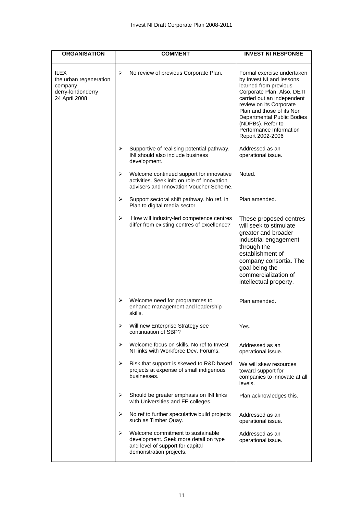| <b>ORGANISATION</b>                                                                    |                       | <b>COMMENT</b>                                                                                                                            | <b>INVEST NI RESPONSE</b>                                                                                                                                                                                                                                                                             |
|----------------------------------------------------------------------------------------|-----------------------|-------------------------------------------------------------------------------------------------------------------------------------------|-------------------------------------------------------------------------------------------------------------------------------------------------------------------------------------------------------------------------------------------------------------------------------------------------------|
| <b>ILEX</b><br>the urban regeneration<br>company<br>derry-londonderry<br>24 April 2008 | $\blacktriangleright$ | No review of previous Corporate Plan.                                                                                                     | Formal exercise undertaken<br>by Invest NI and lessons<br>learned from previous<br>Corporate Plan. Also, DETI<br>carried out an independent<br>review on its Corporate<br>Plan and those of its Non<br>Departmental Public Bodies<br>(NDPBs). Refer to<br>Performance Information<br>Report 2002-2006 |
|                                                                                        | ➤                     | Supportive of realising potential pathway.<br>INI should also include business<br>development.                                            | Addressed as an<br>operational issue.                                                                                                                                                                                                                                                                 |
|                                                                                        | ➤                     | Welcome continued support for innovative<br>activities. Seek info on role of innovation<br>advisers and Innovation Voucher Scheme.        | Noted.                                                                                                                                                                                                                                                                                                |
|                                                                                        | ➤                     | Support sectoral shift pathway. No ref. in<br>Plan to digital media sector                                                                | Plan amended.                                                                                                                                                                                                                                                                                         |
|                                                                                        | ➤                     | How will industry-led competence centres<br>differ from existing centres of excellence?                                                   | These proposed centres<br>will seek to stimulate<br>greater and broader<br>industrial engagement<br>through the<br>establishment of<br>company consortia. The<br>goal being the<br>commercialization of<br>intellectual property.                                                                     |
|                                                                                        | ➤                     | Welcome need for programmes to<br>enhance management and leadership<br>skills.                                                            | Plan amended.                                                                                                                                                                                                                                                                                         |
|                                                                                        | $\blacktriangleright$ | Will new Enterprise Strategy see<br>continuation of SBP?                                                                                  | Yes.                                                                                                                                                                                                                                                                                                  |
|                                                                                        | ⋗                     | Welcome focus on skills. No ref to Invest<br>NI links with Workforce Dev. Forums.                                                         | Addressed as an<br>operational issue.                                                                                                                                                                                                                                                                 |
|                                                                                        | ➤                     | Risk that support is skewed to R&D based<br>projects at expense of small indigenous<br>businesses.                                        | We will skew resources<br>toward support for<br>companies to innovate at all<br>levels.                                                                                                                                                                                                               |
|                                                                                        | ➤                     | Should be greater emphasis on INI links<br>with Universities and FE colleges.                                                             | Plan acknowledges this.                                                                                                                                                                                                                                                                               |
|                                                                                        | ➤                     | No ref to further speculative build projects<br>such as Timber Quay.                                                                      | Addressed as an<br>operational issue.                                                                                                                                                                                                                                                                 |
|                                                                                        | ⋗                     | Welcome commitment to sustainable<br>development. Seek more detail on type<br>and level of support for capital<br>demonstration projects. | Addressed as an<br>operational issue.                                                                                                                                                                                                                                                                 |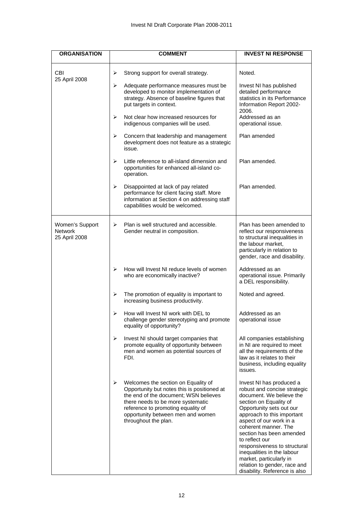| <b>ORGANISATION</b>                         | <b>COMMENT</b>                                                                                                                                                                                                                                                           | <b>INVEST NI RESPONSE</b>                                                                                                                                                                                                                                                                                                                                                                                                           |
|---------------------------------------------|--------------------------------------------------------------------------------------------------------------------------------------------------------------------------------------------------------------------------------------------------------------------------|-------------------------------------------------------------------------------------------------------------------------------------------------------------------------------------------------------------------------------------------------------------------------------------------------------------------------------------------------------------------------------------------------------------------------------------|
| <b>CBI</b>                                  | ➤<br>Strong support for overall strategy.                                                                                                                                                                                                                                | Noted.                                                                                                                                                                                                                                                                                                                                                                                                                              |
| 25 April 2008                               | ➤<br>Adequate performance measures must be<br>developed to monitor implementation of<br>strategy. Absence of baseline figures that<br>put targets in context.                                                                                                            | Invest NI has published<br>detailed performance<br>statistics in its Performance<br>Information Report 2002-<br>2006.                                                                                                                                                                                                                                                                                                               |
|                                             | Not clear how increased resources for<br>⋗<br>indigenous companies will be used.                                                                                                                                                                                         | Addressed as an<br>operational issue.                                                                                                                                                                                                                                                                                                                                                                                               |
|                                             | ➤<br>Concern that leadership and management<br>development does not feature as a strategic<br>issue.                                                                                                                                                                     | Plan amended                                                                                                                                                                                                                                                                                                                                                                                                                        |
|                                             | Little reference to all-island dimension and<br>⋗<br>opportunities for enhanced all-island co-<br>operation.                                                                                                                                                             | Plan amended.                                                                                                                                                                                                                                                                                                                                                                                                                       |
|                                             | $\blacktriangleright$<br>Disappointed at lack of pay related<br>performance for client facing staff. More<br>information at Section 4 on addressing staff<br>capabilities would be welcomed.                                                                             | Plan amended.                                                                                                                                                                                                                                                                                                                                                                                                                       |
| Women's Support<br>Network<br>25 April 2008 | Plan is well structured and accessible.<br>≻<br>Gender neutral in composition.                                                                                                                                                                                           | Plan has been amended to<br>reflect our responsiveness<br>to structural inequalities in<br>the labour market,<br>particularly in relation to<br>gender, race and disability.                                                                                                                                                                                                                                                        |
|                                             | How will Invest NI reduce levels of women<br>⋗<br>who are economically inactive?                                                                                                                                                                                         | Addressed as an<br>operational issue. Primarily<br>a DEL responsibility.                                                                                                                                                                                                                                                                                                                                                            |
|                                             | ➤<br>The promotion of equality is important to<br>increasing business productivity.                                                                                                                                                                                      | Noted and agreed.                                                                                                                                                                                                                                                                                                                                                                                                                   |
|                                             | How will Invest NI work with DEL to<br>⋗<br>challenge gender stereotyping and promote<br>equality of opportunity?                                                                                                                                                        | Addressed as an<br>operational issue                                                                                                                                                                                                                                                                                                                                                                                                |
|                                             | $\blacktriangleright$<br>Invest NI should target companies that<br>promote equality of opportunity between<br>men and women as potential sources of<br>FDI.                                                                                                              | All companies establishing<br>in NI are required to meet<br>all the requirements of the<br>law as it relates to their<br>business, including equality<br>issues.                                                                                                                                                                                                                                                                    |
|                                             | Welcomes the section on Equality of<br>➤<br>Opportunity but notes this is positioned at<br>the end of the document; WSN believes<br>there needs to be more systematic<br>reference to promoting equality of<br>opportunity between men and women<br>throughout the plan. | Invest NI has produced a<br>robust and concise strategic<br>document. We believe the<br>section on Equality of<br>Opportunity sets out our<br>approach to this important<br>aspect of our work in a<br>coherent manner. The<br>section has been amended<br>to reflect our<br>responsiveness to structural<br>inequalities in the labour<br>market, particularly in<br>relation to gender, race and<br>disability. Reference is also |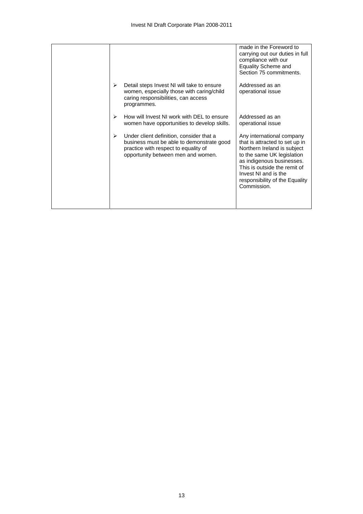|                                                                                                                                                                          | made in the Foreword to<br>carrying out our duties in full<br>compliance with our<br><b>Equality Scheme and</b><br>Section 75 commitments.                                                                                                                     |
|--------------------------------------------------------------------------------------------------------------------------------------------------------------------------|----------------------------------------------------------------------------------------------------------------------------------------------------------------------------------------------------------------------------------------------------------------|
| ↘<br>Detail steps Invest NI will take to ensure<br>women, especially those with caring/child<br>caring responsibilities, can access<br>programmes.                       | Addressed as an<br>operational issue                                                                                                                                                                                                                           |
| How will Invest NI work with DEL to ensure<br>↘<br>women have opportunities to develop skills.                                                                           | Addressed as an<br>operational issue                                                                                                                                                                                                                           |
| Under client definition, consider that a<br>⋗<br>business must be able to demonstrate good<br>practice with respect to equality of<br>opportunity between men and women. | Any international company<br>that is attracted to set up in<br>Northern Ireland is subject<br>to the same UK legislation<br>as indigenous businesses.<br>This is outside the remit of<br>Invest NI and is the<br>responsibility of the Equality<br>Commission. |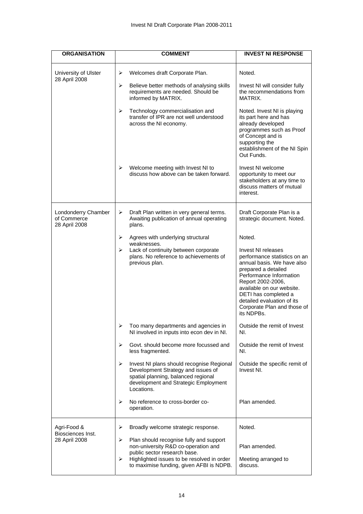| <b>ORGANISATION</b>                                 | <b>COMMENT</b>                                                                                                                                                                    | <b>INVEST NI RESPONSE</b>                                                                                                                                                                                                                                                               |
|-----------------------------------------------------|-----------------------------------------------------------------------------------------------------------------------------------------------------------------------------------|-----------------------------------------------------------------------------------------------------------------------------------------------------------------------------------------------------------------------------------------------------------------------------------------|
| University of Ulster<br>28 April 2008               | ➤<br>Welcomes draft Corporate Plan.                                                                                                                                               | Noted.                                                                                                                                                                                                                                                                                  |
|                                                     | Believe better methods of analysing skills<br>➤<br>requirements are needed. Should be<br>informed by MATRIX.                                                                      | Invest NI will consider fully<br>the recommendations from<br>MATRIX.                                                                                                                                                                                                                    |
|                                                     | ➤<br>Technology commercialisation and<br>transfer of IPR are not well understood<br>across the NI economy.                                                                        | Noted. Invest NI is playing<br>its part here and has<br>already developed<br>programmes such as Proof<br>of Concept and is<br>supporting the<br>establishment of the NI Spin<br>Out Funds.                                                                                              |
|                                                     | ⋗<br>Welcome meeting with Invest NI to<br>discuss how above can be taken forward.                                                                                                 | Invest NI welcome<br>opportunity to meet our<br>stakeholders at any time to<br>discuss matters of mutual<br>interest.                                                                                                                                                                   |
| Londonderry Chamber<br>of Commerce<br>28 April 2008 | ➤<br>Draft Plan written in very general terms.<br>Awaiting publication of annual operating<br>plans.                                                                              | Draft Corporate Plan is a<br>strategic document. Noted.                                                                                                                                                                                                                                 |
|                                                     | ➤<br>Agrees with underlying structural                                                                                                                                            | Noted.                                                                                                                                                                                                                                                                                  |
|                                                     | weaknesses.<br>Lack of continuity between corporate<br>➤<br>plans. No reference to achievements of<br>previous plan.                                                              | Invest NI releases<br>performance statistics on an<br>annual basis. We have also<br>prepared a detailed<br>Performance Information<br>Report 2002-2006,<br>available on our website.<br>DETI has completed a<br>detailed evaluation of its<br>Corporate Plan and those of<br>its NDPBs. |
|                                                     | Too many departments and agencies in<br>➤<br>NI involved in inputs into econ dev in NI.                                                                                           | Outside the remit of Invest<br>NI.                                                                                                                                                                                                                                                      |
|                                                     | ⋗<br>Govt, should become more focussed and<br>less fragmented.                                                                                                                    | Outside the remit of Invest<br>NI.                                                                                                                                                                                                                                                      |
|                                                     | Invest NI plans should recognise Regional<br>➤<br>Development Strategy and issues of<br>spatial planning, balanced regional<br>development and Strategic Employment<br>Locations. | Outside the specific remit of<br>Invest NI.                                                                                                                                                                                                                                             |
|                                                     | ⋗<br>No reference to cross-border co-<br>operation.                                                                                                                               | Plan amended.                                                                                                                                                                                                                                                                           |
| Agri-Food &<br>Biosciences Inst.                    | Broadly welcome strategic response.<br>➤                                                                                                                                          | Noted.                                                                                                                                                                                                                                                                                  |
| 28 April 2008                                       | ➤<br>Plan should recognise fully and support<br>non-university R&D co-operation and<br>public sector research base.                                                               | Plan amended.                                                                                                                                                                                                                                                                           |
|                                                     | Highlighted issues to be resolved in order<br>➤<br>to maximise funding, given AFBI is NDPB.                                                                                       | Meeting arranged to<br>discuss.                                                                                                                                                                                                                                                         |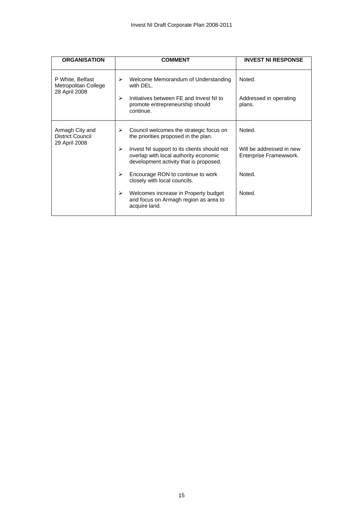| <b>ORGANISATION</b>                                         | <b>COMMENT</b>                                                                                                                      | <b>INVEST NI RESPONSE</b>                          |  |
|-------------------------------------------------------------|-------------------------------------------------------------------------------------------------------------------------------------|----------------------------------------------------|--|
| P White, Belfast<br>Metropolitan College<br>28 April 2008   | Welcome Memorandum of Understanding<br>➤<br>with DEL.                                                                               | Noted.                                             |  |
|                                                             | Initiatives between FE and Invest NI to<br>⋗<br>promote entrepreneurship should<br>continue.                                        | Addressed in operating<br>plans.                   |  |
| Armagh City and<br><b>District Council</b><br>29 April 2008 | Council welcomes the strategic focus on<br>➤<br>the priorities proposed in the plan.                                                | Noted.                                             |  |
|                                                             | Invest NI support to its clients should not<br>⋗<br>overlap with local authority economic<br>development activity that is proposed. | Will be addressed in new<br>Enterprise Framewwork. |  |
|                                                             | Encourage RON to continue to work<br>➤<br>closely with local councils.                                                              | Noted.                                             |  |
|                                                             | Welcomes increase in Property budget<br>➤<br>and focus on Armagh region as area to<br>acquire land.                                 | Noted.                                             |  |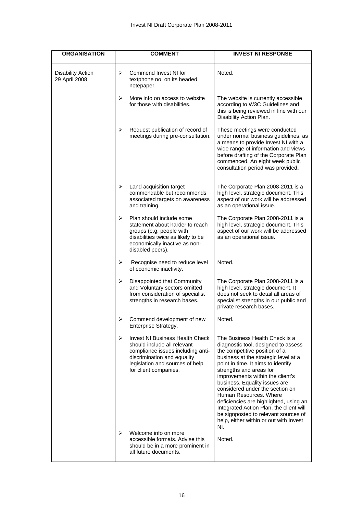| <b>ORGANISATION</b>                       | <b>COMMENT</b>                                                                                                                                                                                      | <b>INVEST NI RESPONSE</b>                                                                                                                                                                                                                                                                                                                                                                                                                                                                                                       |
|-------------------------------------------|-----------------------------------------------------------------------------------------------------------------------------------------------------------------------------------------------------|---------------------------------------------------------------------------------------------------------------------------------------------------------------------------------------------------------------------------------------------------------------------------------------------------------------------------------------------------------------------------------------------------------------------------------------------------------------------------------------------------------------------------------|
| <b>Disability Action</b><br>29 April 2008 | Commend Invest NI for<br>➤<br>textphone no. on its headed<br>notepaper.                                                                                                                             | Noted.                                                                                                                                                                                                                                                                                                                                                                                                                                                                                                                          |
|                                           | ➤<br>More info on access to website<br>for those with disabilities.                                                                                                                                 | The website is currently accessible<br>according to W3C Guidelines and<br>this is being reviewed in line with our<br>Disability Action Plan.                                                                                                                                                                                                                                                                                                                                                                                    |
|                                           | Request publication of record of<br>➤<br>meetings during pre-consultation.                                                                                                                          | These meetings were conducted<br>under normal business guidelines, as<br>a means to provide Invest NI with a<br>wide range of information and views<br>before drafting of the Corporate Plan<br>commenced. An eight week public<br>consultation period was provided.                                                                                                                                                                                                                                                            |
|                                           | ➤<br>Land acquisition target<br>commendable but recommends<br>associated targets on awareness<br>and training.                                                                                      | The Corporate Plan 2008-2011 is a<br>high level, strategic document. This<br>aspect of our work will be addressed<br>as an operational issue.                                                                                                                                                                                                                                                                                                                                                                                   |
|                                           | Plan should include some<br>➤<br>statement about harder to reach<br>groups (e.g. people with<br>disabilities twice as likely to be<br>economically inactive as non-<br>disabled peers).             | The Corporate Plan 2008-2011 is a<br>high level, strategic document. This<br>aspect of our work will be addressed<br>as an operational issue.                                                                                                                                                                                                                                                                                                                                                                                   |
|                                           | ➤<br>Recognise need to reduce level<br>of economic inactivity.                                                                                                                                      | Noted.                                                                                                                                                                                                                                                                                                                                                                                                                                                                                                                          |
|                                           | ➤<br>Disappointed that Community<br>and Voluntary sectors omitted<br>from consideration of specialist<br>strengths in research bases.                                                               | The Corporate Plan 2008-2011 is a<br>high level, strategic document. It<br>does not seek to detail all areas of<br>specialist strengths in our public and<br>private research bases.                                                                                                                                                                                                                                                                                                                                            |
|                                           | Commend development of new<br>➤<br>Enterprise Strategy.                                                                                                                                             | Noted.                                                                                                                                                                                                                                                                                                                                                                                                                                                                                                                          |
|                                           | ➤<br>Invest NI Business Health Check<br>should include all relevant<br>compliance issues including anti-<br>discrimination and equality<br>legislation and sources of help<br>for client companies. | The Business Health Check is a<br>diagnostic tool, designed to assess<br>the competitive position of a<br>business at the strategic level at a<br>point in time. It aims to identify<br>strengths and areas for<br>improvements within the client's<br>business. Equality issues are<br>considered under the section on<br>Human Resources, Where<br>deficiencies are highlighted, using an<br>Integrated Action Plan, the client will<br>be signposted to relevant sources of<br>help, either within or out with Invest<br>NI. |
|                                           | Welcome info on more<br>⋗<br>accessible formats. Advise this<br>should be in a more prominent in<br>all future documents.                                                                           | Noted.                                                                                                                                                                                                                                                                                                                                                                                                                                                                                                                          |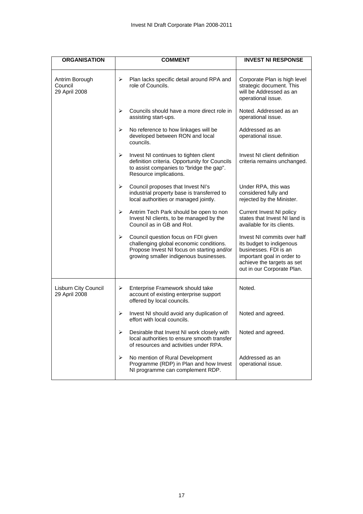| <b>ORGANISATION</b>                        | <b>COMMENT</b>                                                                                                                                                              | <b>INVEST NI RESPONSE</b>                                                                                                                                                  |
|--------------------------------------------|-----------------------------------------------------------------------------------------------------------------------------------------------------------------------------|----------------------------------------------------------------------------------------------------------------------------------------------------------------------------|
| Antrim Borough<br>Council<br>29 April 2008 | Plan lacks specific detail around RPA and<br>➤<br>role of Councils.                                                                                                         | Corporate Plan is high level<br>strategic document. This<br>will be Addressed as an<br>operational issue.                                                                  |
|                                            | Councils should have a more direct role in<br>⋗<br>assisting start-ups.                                                                                                     | Noted. Addressed as an<br>operational issue.                                                                                                                               |
|                                            | ➤<br>No reference to how linkages will be<br>developed between RON and local<br>councils.                                                                                   | Addressed as an<br>operational issue.                                                                                                                                      |
|                                            | ➤<br>Invest NI continues to tighten client<br>definition criteria. Opportunity for Councils<br>to assist companies to "bridge the gap".<br>Resource implications.           | Invest NI client definition<br>criteria remains unchanged.                                                                                                                 |
|                                            | $\blacktriangleright$<br>Council proposes that Invest NI's<br>industrial property base is transferred to<br>local authorities or managed jointly.                           | Under RPA, this was<br>considered fully and<br>rejected by the Minister.                                                                                                   |
|                                            | $\blacktriangleright$<br>Antrim Tech Park should be open to non<br>Invest NI clients, to be managed by the<br>Council as in GB and Rol.                                     | <b>Current Invest NI policy</b><br>states that Invest NI land is<br>available for its clients.                                                                             |
|                                            | ➤<br>Council question focus on FDI given<br>challenging global economic conditions.<br>Propose Invest NI focus on starting and/or<br>growing smaller indigenous businesses. | Invest NI commits over half<br>its budget to indigenous<br>businesses. FDI is an<br>important goal in order to<br>achieve the targets as set<br>out in our Corporate Plan. |
| Lisburn City Council<br>29 April 2008      | ➤<br>Enterprise Framework should take<br>account of existing enterprise support<br>offered by local councils.                                                               | Noted.                                                                                                                                                                     |
|                                            | ➤<br>Invest NI should avoid any duplication of<br>effort with local councils.                                                                                               | Noted and agreed.                                                                                                                                                          |
|                                            | Desirable that Invest NI work closely with<br>⋗<br>local authorities to ensure smooth transfer<br>of resources and activities under RPA.                                    | Noted and agreed.                                                                                                                                                          |
|                                            | ➤<br>No mention of Rural Development<br>Programme (RDP) in Plan and how Invest<br>NI programme can complement RDP.                                                          | Addressed as an<br>operational issue.                                                                                                                                      |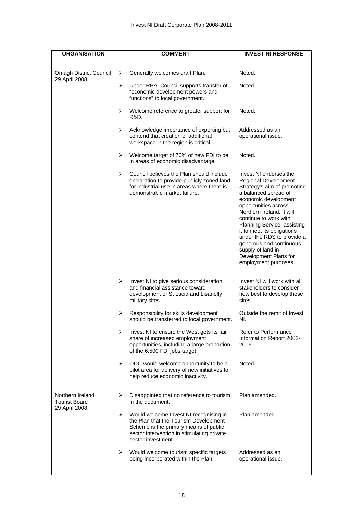| <b>ORGANISATION</b>                      | <b>COMMENT</b>                                                                                                                                                                                    | <b>INVEST NI RESPONSE</b>                                                                                                                                                                                                                                                                                                                                                                               |
|------------------------------------------|---------------------------------------------------------------------------------------------------------------------------------------------------------------------------------------------------|---------------------------------------------------------------------------------------------------------------------------------------------------------------------------------------------------------------------------------------------------------------------------------------------------------------------------------------------------------------------------------------------------------|
| <b>Omagh District Council</b>            | Generally welcomes draft Plan.<br>➤                                                                                                                                                               | Noted.                                                                                                                                                                                                                                                                                                                                                                                                  |
| 29 April 2008                            | ➤<br>Under RPA, Council supports transfer of<br>"economic development powers and<br>functions" to local government.                                                                               | Noted.                                                                                                                                                                                                                                                                                                                                                                                                  |
|                                          | Welcome reference to greater support for<br>➤<br><b>R&amp;D.</b>                                                                                                                                  | Noted.                                                                                                                                                                                                                                                                                                                                                                                                  |
|                                          | Acknowledge importance of exporting but<br>➤<br>contend that creation of additional<br>workspace in the region is critical.                                                                       | Addressed as an<br>operational issue.                                                                                                                                                                                                                                                                                                                                                                   |
|                                          | ➤<br>Welcome target of 70% of new FDI to be<br>in areas of economic disadvantage.                                                                                                                 | Noted.                                                                                                                                                                                                                                                                                                                                                                                                  |
|                                          | Council believes the Plan should include<br>⋗<br>declaration to provide publicly zoned land<br>for industrial use in areas where there is<br>demonstrable market failure.                         | Invest NI endorses the<br>Regional Development<br>Strategy's aim of promoting<br>a balanced spread of<br>economic development<br>opportunities across<br>Northern Ireland. It will<br>continue to work with<br>Planning Service, assisting<br>it to meet its obligations<br>under the RDS to provide a<br>generous and continuous<br>supply of land in<br>Development Plans for<br>employment purposes. |
|                                          | ➤<br>Invest NI to give serious consideration<br>and financial assistance toward<br>development of St Lucia and Lisanelly<br>military sites.                                                       | Invest NI will work with all<br>stakeholders to consider<br>how best to develop these<br>sites.                                                                                                                                                                                                                                                                                                         |
|                                          | Responsibility for skills development<br>➤<br>should be transferred to local government.                                                                                                          | Outside the remit of Invest<br>NI.                                                                                                                                                                                                                                                                                                                                                                      |
|                                          | Invest NI to ensure the West gets its fair<br>➤<br>share of increased employment<br>opportunities, including a large proportion<br>of the 6,500 FDI jobs target.                                  | Refer to Performance<br>Information Report 2002-<br>2006                                                                                                                                                                                                                                                                                                                                                |
|                                          | ➤<br>ODC would welcome opportunity to be a<br>pilot area for delivery of new initiatives to<br>help reduce economic inactivity.                                                                   | Noted.                                                                                                                                                                                                                                                                                                                                                                                                  |
| Northern Ireland<br><b>Tourist Board</b> | ➤<br>Disappointed that no reference to tourism<br>in the document.                                                                                                                                | Plan amended.                                                                                                                                                                                                                                                                                                                                                                                           |
| 29 April 2008                            | ⋗<br>Would welcome Invest NI recognising in<br>the Plan that the Tourism Development<br>Scheme is the primary means of public<br>sector intervention in stimulating private<br>sector investment. | Plan amended.                                                                                                                                                                                                                                                                                                                                                                                           |
|                                          | Would welcome tourism specific targets<br>➤<br>being incorporated within the Plan.                                                                                                                | Addressed as an<br>operational issue.                                                                                                                                                                                                                                                                                                                                                                   |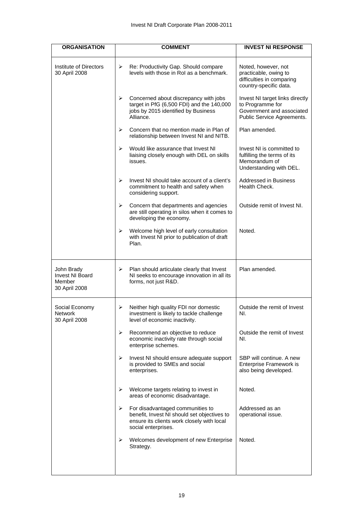| <b>ORGANISATION</b>                                             | <b>COMMENT</b>                                                                                                                                            | <b>INVEST NI RESPONSE</b>                                                                                      |
|-----------------------------------------------------------------|-----------------------------------------------------------------------------------------------------------------------------------------------------------|----------------------------------------------------------------------------------------------------------------|
| Institute of Directors<br>30 April 2008                         | ➤<br>Re: Productivity Gap. Should compare<br>levels with those in RoI as a benchmark.                                                                     | Noted, however, not<br>practicable, owing to<br>difficulties in comparing<br>country-specific data.            |
|                                                                 | Concerned about discrepancy with jobs<br>➤<br>target in PfG (6,500 FDI) and the 140,000<br>jobs by 2015 identified by Business<br>Alliance.               | Invest NI target links directly<br>to Programme for<br>Government and associated<br>Public Service Agreements. |
|                                                                 | ⋗<br>Concern that no mention made in Plan of<br>relationship between Invest NI and NITB.                                                                  | Plan amended.                                                                                                  |
|                                                                 | Would like assurance that Invest NI<br>⋗<br>liaising closely enough with DEL on skills<br>issues.                                                         | Invest NI is committed to<br>fulfilling the terms of its<br>Memorandum of<br>Understanding with DEL.           |
|                                                                 | ⋗<br>Invest NI should take account of a client's<br>commitment to health and safety when<br>considering support.                                          | <b>Addressed in Business</b><br>Health Check.                                                                  |
|                                                                 | ➤<br>Concern that departments and agencies<br>are still operating in silos when it comes to<br>developing the economy.                                    | Outside remit of Invest NI.                                                                                    |
|                                                                 | ⋗<br>Welcome high level of early consultation<br>with Invest NI prior to publication of draft<br>Plan.                                                    | Noted.                                                                                                         |
| John Brady<br><b>Invest NI Board</b><br>Member<br>30 April 2008 | Plan should articulate clearly that Invest<br>➤<br>NI seeks to encourage innovation in all its<br>forms, not just R&D.                                    | Plan amended.                                                                                                  |
| Social Economy<br>Network<br>30 April 2008                      | Neither high quality FDI nor domestic<br>➤<br>investment is likely to tackle challenge<br>level of economic inactivity.                                   | Outside the remit of Invest<br>NI.                                                                             |
|                                                                 | ➤<br>Recommend an objective to reduce<br>economic inactivity rate through social<br>enterprise schemes.                                                   | Outside the remit of Invest<br>NI.                                                                             |
|                                                                 | ➤<br>Invest NI should ensure adequate support<br>is provided to SMEs and social<br>enterprises.                                                           | SBP will continue. A new<br>Enterprise Framework is<br>also being developed.                                   |
|                                                                 | Welcome targets relating to invest in<br>➤<br>areas of economic disadvantage.                                                                             | Noted.                                                                                                         |
|                                                                 | For disadvantaged communities to<br>➤<br>benefit, Invest NI should set objectives to<br>ensure its clients work closely with local<br>social enterprises. | Addressed as an<br>operational issue.                                                                          |
|                                                                 | ⋗<br>Welcomes development of new Enterprise<br>Strategy.                                                                                                  | Noted.                                                                                                         |
|                                                                 |                                                                                                                                                           |                                                                                                                |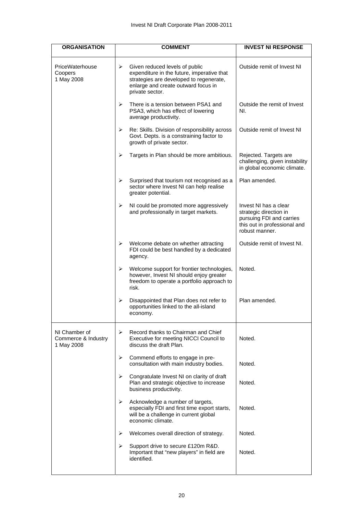| <b>ORGANISATION</b>                                | <b>COMMENT</b>                                                                                                                                                                         | <b>INVEST NI RESPONSE</b>                                                                                                     |
|----------------------------------------------------|----------------------------------------------------------------------------------------------------------------------------------------------------------------------------------------|-------------------------------------------------------------------------------------------------------------------------------|
| PriceWaterhouse<br>Coopers<br>1 May 2008           | Given reduced levels of public<br>≻<br>expenditure in the future, imperative that<br>strategies are developed to regenerate,<br>enlarge and create outward focus in<br>private sector. | Outside remit of Invest NI                                                                                                    |
|                                                    | ↘<br>There is a tension between PSA1 and<br>PSA3, which has effect of lowering<br>average productivity.                                                                                | Outside the remit of Invest<br>NI.                                                                                            |
|                                                    | ➤<br>Re: Skills. Division of responsibility across<br>Govt. Depts. is a constraining factor to<br>growth of private sector.                                                            | Outside remit of Invest NI                                                                                                    |
|                                                    | ➤<br>Targets in Plan should be more ambitious.                                                                                                                                         | Rejected. Targets are<br>challenging, given instability<br>in global economic climate.                                        |
|                                                    | ➤<br>Surprised that tourism not recognised as a<br>sector where Invest NI can help realise<br>greater potential.                                                                       | Plan amended.                                                                                                                 |
|                                                    | ➤<br>NI could be promoted more aggressively<br>and professionally in target markets.                                                                                                   | Invest NI has a clear<br>strategic direction in<br>pursuing FDI and carries<br>this out in professional and<br>robust manner. |
|                                                    | Welcome debate on whether attracting<br>➤<br>FDI could be best handled by a dedicated<br>agency.                                                                                       | Outside remit of Invest NI.                                                                                                   |
|                                                    | ➤<br>Welcome support for frontier technologies,<br>however, Invest NI should enjoy greater<br>freedom to operate a portfolio approach to<br>risk.                                      | Noted.                                                                                                                        |
|                                                    | Disappointed that Plan does not refer to<br>➤<br>opportunities linked to the all-island<br>economy.                                                                                    | Plan amended.                                                                                                                 |
| NI Chamber of<br>Commerce & Industry<br>1 May 2008 | Record thanks to Chairman and Chief<br>≻<br>Executive for meeting NICCI Council to<br>discuss the draft Plan.                                                                          | Noted.                                                                                                                        |
|                                                    | ➤<br>Commend efforts to engage in pre-<br>consultation with main industry bodies.                                                                                                      | Noted.                                                                                                                        |
|                                                    | ➤<br>Congratulate Invest NI on clarity of draft<br>Plan and strategic objective to increase<br>business productivity.                                                                  | Noted.                                                                                                                        |
|                                                    | Acknowledge a number of targets,<br>≻<br>especially FDI and first time export starts,<br>will be a challenge in current global<br>economic climate.                                    | Noted.                                                                                                                        |
|                                                    | Welcomes overall direction of strategy.<br>➤                                                                                                                                           | Noted.                                                                                                                        |
|                                                    | ➤<br>Support drive to secure £120m R&D.<br>Important that "new players" in field are<br>identified.                                                                                    | Noted.                                                                                                                        |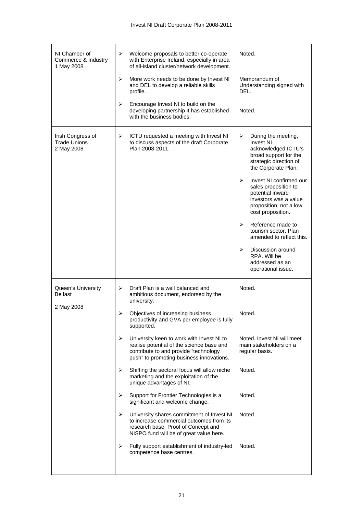| NI Chamber of<br>Commerce & Industry<br>1 May 2008     | ➤<br>Welcome proposals to better co-operate<br>with Enterprise Ireland, especially in area<br>of all-island cluster/network development.                                         | Noted.                                                                                                                                                                                                                                                                                                                                                                                                                                       |
|--------------------------------------------------------|----------------------------------------------------------------------------------------------------------------------------------------------------------------------------------|----------------------------------------------------------------------------------------------------------------------------------------------------------------------------------------------------------------------------------------------------------------------------------------------------------------------------------------------------------------------------------------------------------------------------------------------|
|                                                        | ➤<br>More work needs to be done by Invest NI<br>and DEL to develop a reliable skills<br>profile.                                                                                 | Memorandum of<br>Understanding signed with<br>DEL.                                                                                                                                                                                                                                                                                                                                                                                           |
|                                                        | ➤<br>Encourage Invest NI to build on the<br>developing partnership it has established<br>with the business bodies.                                                               | Noted.                                                                                                                                                                                                                                                                                                                                                                                                                                       |
| Irish Congress of<br><b>Trade Unions</b><br>2 May 2008 | ICTU requested a meeting with Invest NI<br>➤<br>to discuss aspects of the draft Corporate<br>Plan 2008-2011.                                                                     | ➤<br>During the meeting,<br><b>Invest NI</b><br>acknowledged ICTU's<br>broad support for the<br>strategic direction of<br>the Corporate Plan.<br>Invest NI confirmed our<br>⋗<br>sales proposition to<br>potential inward<br>investors was a value<br>proposition, not a low<br>cost proposition.<br>Reference made to<br>⋗<br>tourism sector. Plan<br>amended to reflect this.<br>⋗<br>Discussion around<br>RPA. Will be<br>addressed as an |
|                                                        |                                                                                                                                                                                  | operational issue.                                                                                                                                                                                                                                                                                                                                                                                                                           |
| Queen's University<br><b>Belfast</b>                   | Draft Plan is a well balanced and<br>➤<br>ambitious document, endorsed by the<br>university.                                                                                     | Noted.                                                                                                                                                                                                                                                                                                                                                                                                                                       |
| 2 May 2008                                             | Objectives of increasing business<br>➤<br>productivity and GVA per employee is fully<br>supported.                                                                               | Noted.                                                                                                                                                                                                                                                                                                                                                                                                                                       |
|                                                        | ➤<br>University keen to work with Invest NI to<br>realise potential of the science base and<br>contribute to and provide "technology<br>push" to promoting business innovations. | Noted. Invest NI will meet<br>main stakeholders on a<br>regular basis.                                                                                                                                                                                                                                                                                                                                                                       |
|                                                        | Shifting the sectoral focus will allow niche<br>⋗<br>marketing and the exploitation of the<br>unique advantages of NI.                                                           | Noted.                                                                                                                                                                                                                                                                                                                                                                                                                                       |
|                                                        | Support for Frontier Technologies is a<br>⋗<br>significant and welcome change.                                                                                                   | Noted.                                                                                                                                                                                                                                                                                                                                                                                                                                       |
|                                                        | ➤<br>University shares commitment of Invest NI<br>to increase commercial outcomes from its<br>research base. Proof of Concept and<br>NISPO fund will be of great value here.     | Noted.                                                                                                                                                                                                                                                                                                                                                                                                                                       |
|                                                        | Fully support establishment of industry-led<br>➤<br>competence base centres.                                                                                                     | Noted.                                                                                                                                                                                                                                                                                                                                                                                                                                       |
|                                                        |                                                                                                                                                                                  |                                                                                                                                                                                                                                                                                                                                                                                                                                              |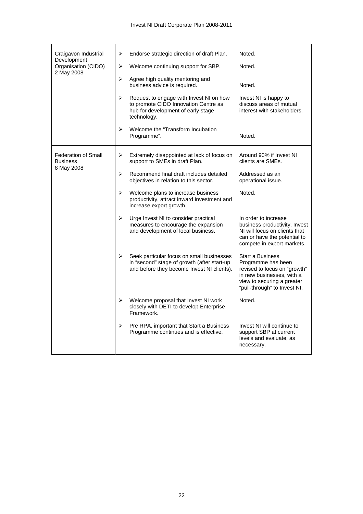| Craigavon Industrial<br>Development<br>Organisation (CIDO)  | ➤<br>➤                | Endorse strategic direction of draft Plan.<br>Welcome continuing support for SBP.                                                      | Noted.<br>Noted.                                                                                                                                                         |
|-------------------------------------------------------------|-----------------------|----------------------------------------------------------------------------------------------------------------------------------------|--------------------------------------------------------------------------------------------------------------------------------------------------------------------------|
| 2 May 2008                                                  | $\blacktriangleright$ | Agree high quality mentoring and<br>business advice is required.                                                                       | Noted.                                                                                                                                                                   |
|                                                             | $\blacktriangleright$ | Request to engage with Invest NI on how<br>to promote CIDO Innovation Centre as<br>hub for development of early stage<br>technology.   | Invest NI is happy to<br>discuss areas of mutual<br>interest with stakeholders.                                                                                          |
|                                                             | ↘                     | Welcome the "Transform Incubation"<br>Programme".                                                                                      | Noted.                                                                                                                                                                   |
| <b>Federation of Small</b><br><b>Business</b><br>8 May 2008 | ➤                     | Extremely disappointed at lack of focus on<br>support to SMEs in draft Plan.                                                           | Around 90% if Invest NI<br>clients are SMEs.                                                                                                                             |
|                                                             | $\blacktriangleright$ | Recommend final draft includes detailed<br>objectives in relation to this sector.                                                      | Addressed as an<br>operational issue.                                                                                                                                    |
|                                                             | $\blacktriangleright$ | Welcome plans to increase business<br>productivity, attract inward investment and<br>increase export growth.                           | Noted.                                                                                                                                                                   |
|                                                             | ➤                     | Urge Invest NI to consider practical<br>measures to encourage the expansion<br>and development of local business.                      | In order to increase<br>business productivity, Invest<br>NI will focus on clients that<br>can or have the potential to<br>compete in export markets.                     |
|                                                             | ➤                     | Seek particular focus on small businesses<br>in "second" stage of growth (after start-up<br>and before they become Invest NI clients). | <b>Start a Business</b><br>Programme has been<br>revised to focus on "growth"<br>in new businesses, with a<br>view to securing a greater<br>"pull-through" to Invest NI. |
|                                                             | ⋗                     | Welcome proposal that Invest NI work<br>closely with DETI to develop Enterprise<br>Framework.                                          | Noted.                                                                                                                                                                   |
|                                                             | ➤                     | Pre RPA, important that Start a Business<br>Programme continues and is effective.                                                      | Invest NI will continue to<br>support SBP at current<br>levels and evaluate, as<br>necessary.                                                                            |